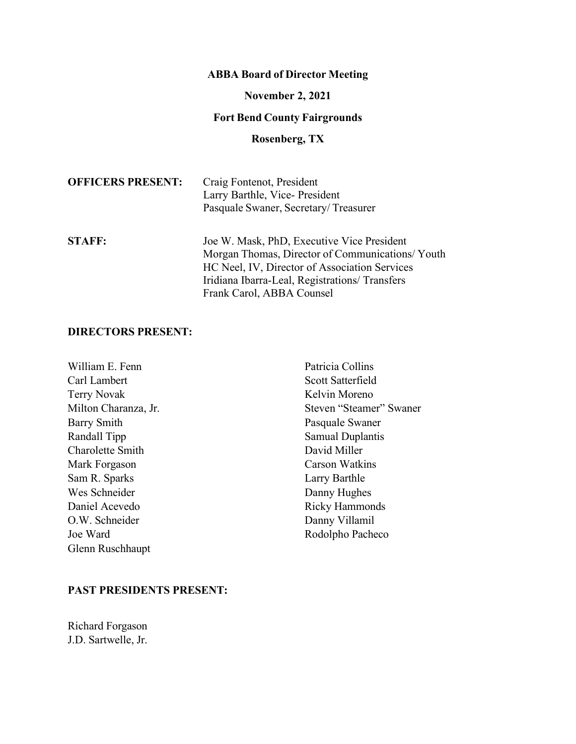# **ABBA Board of Director Meeting**

# **November 2, 2021**

# **Fort Bend County Fairgrounds**

# **Rosenberg, TX**

| <b>OFFICERS PRESENT:</b> | Craig Fontenot, President<br>Larry Barthle, Vice-President<br>Pasquale Swaner, Secretary/Treasurer                                             |
|--------------------------|------------------------------------------------------------------------------------------------------------------------------------------------|
| <b>STAFF:</b>            | Joe W. Mask, PhD, Executive Vice President<br>Morgan Thomas, Director of Communications/Youth<br>HC Neel, IV, Director of Association Services |
|                          | Iridiana Ibarra-Leal, Registrations/ Transfers<br>Frank Carol, ABBA Counsel                                                                    |

# **DIRECTORS PRESENT:**

| William E. Fenn      | Patricia Collins        |
|----------------------|-------------------------|
| Carl Lambert         | Scott Satterfield       |
| <b>Terry Novak</b>   | Kelvin Moreno           |
| Milton Charanza, Jr. | Steven "Steamer" Swaner |
| <b>Barry Smith</b>   | Pasquale Swaner         |
| Randall Tipp         | Samual Duplantis        |
| Charolette Smith     | David Miller            |
| Mark Forgason        | <b>Carson Watkins</b>   |
| Sam R. Sparks        | Larry Barthle           |
| Wes Schneider        | Danny Hughes            |
| Daniel Acevedo       | <b>Ricky Hammonds</b>   |
| O.W. Schneider       | Danny Villamil          |
| Joe Ward             | Rodolpho Pacheco        |
| Glenn Ruschhaupt     |                         |

## **PAST PRESIDENTS PRESENT:**

Richard Forgason J.D. Sartwelle, Jr.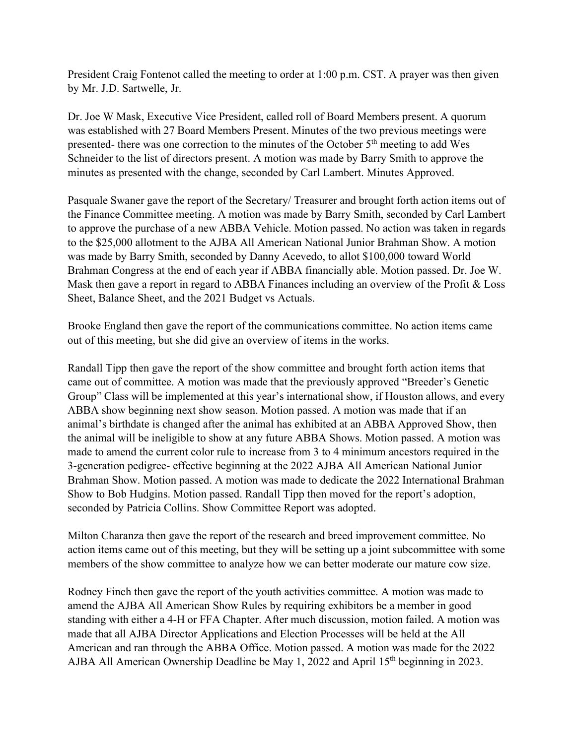President Craig Fontenot called the meeting to order at 1:00 p.m. CST. A prayer was then given by Mr. J.D. Sartwelle, Jr.

Dr. Joe W Mask, Executive Vice President, called roll of Board Members present. A quorum was established with 27 Board Members Present. Minutes of the two previous meetings were presented- there was one correction to the minutes of the October 5th meeting to add Wes Schneider to the list of directors present. A motion was made by Barry Smith to approve the minutes as presented with the change, seconded by Carl Lambert. Minutes Approved.

Pasquale Swaner gave the report of the Secretary/ Treasurer and brought forth action items out of the Finance Committee meeting. A motion was made by Barry Smith, seconded by Carl Lambert to approve the purchase of a new ABBA Vehicle. Motion passed. No action was taken in regards to the \$25,000 allotment to the AJBA All American National Junior Brahman Show. A motion was made by Barry Smith, seconded by Danny Acevedo, to allot \$100,000 toward World Brahman Congress at the end of each year if ABBA financially able. Motion passed. Dr. Joe W. Mask then gave a report in regard to ABBA Finances including an overview of the Profit & Loss Sheet, Balance Sheet, and the 2021 Budget vs Actuals.

Brooke England then gave the report of the communications committee. No action items came out of this meeting, but she did give an overview of items in the works.

Randall Tipp then gave the report of the show committee and brought forth action items that came out of committee. A motion was made that the previously approved "Breeder's Genetic Group" Class will be implemented at this year's international show, if Houston allows, and every ABBA show beginning next show season. Motion passed. A motion was made that if an animal's birthdate is changed after the animal has exhibited at an ABBA Approved Show, then the animal will be ineligible to show at any future ABBA Shows. Motion passed. A motion was made to amend the current color rule to increase from 3 to 4 minimum ancestors required in the 3-generation pedigree- effective beginning at the 2022 AJBA All American National Junior Brahman Show. Motion passed. A motion was made to dedicate the 2022 International Brahman Show to Bob Hudgins. Motion passed. Randall Tipp then moved for the report's adoption, seconded by Patricia Collins. Show Committee Report was adopted.

Milton Charanza then gave the report of the research and breed improvement committee. No action items came out of this meeting, but they will be setting up a joint subcommittee with some members of the show committee to analyze how we can better moderate our mature cow size.

Rodney Finch then gave the report of the youth activities committee. A motion was made to amend the AJBA All American Show Rules by requiring exhibitors be a member in good standing with either a 4-H or FFA Chapter. After much discussion, motion failed. A motion was made that all AJBA Director Applications and Election Processes will be held at the All American and ran through the ABBA Office. Motion passed. A motion was made for the 2022 AJBA All American Ownership Deadline be May 1, 2022 and April 15<sup>th</sup> beginning in 2023.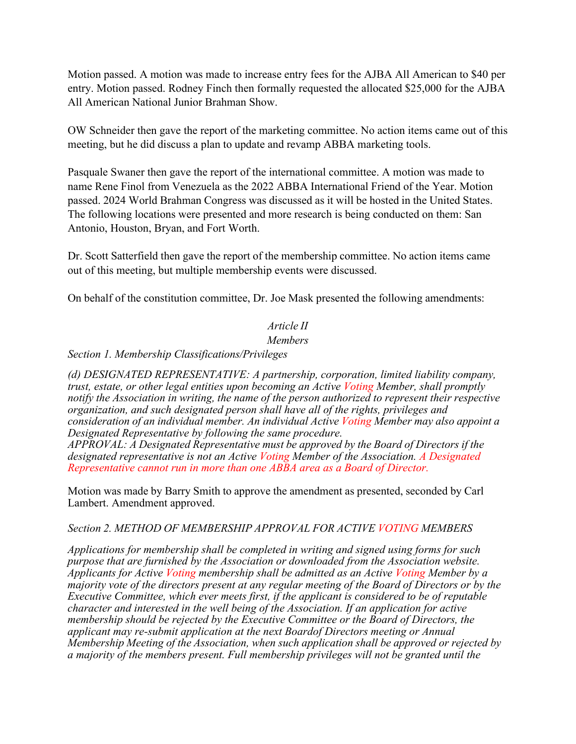Motion passed. A motion was made to increase entry fees for the AJBA All American to \$40 per entry. Motion passed. Rodney Finch then formally requested the allocated \$25,000 for the AJBA All American National Junior Brahman Show.

OW Schneider then gave the report of the marketing committee. No action items came out of this meeting, but he did discuss a plan to update and revamp ABBA marketing tools.

Pasquale Swaner then gave the report of the international committee. A motion was made to name Rene Finol from Venezuela as the 2022 ABBA International Friend of the Year. Motion passed. 2024 World Brahman Congress was discussed as it will be hosted in the United States. The following locations were presented and more research is being conducted on them: San Antonio, Houston, Bryan, and Fort Worth.

Dr. Scott Satterfield then gave the report of the membership committee. No action items came out of this meeting, but multiple membership events were discussed.

On behalf of the constitution committee, Dr. Joe Mask presented the following amendments:

## *Article II*

### *Members*

*Section 1. Membership Classifications/Privileges*

*(d) DESIGNATED REPRESENTATIVE: A partnership, corporation, limited liability company, trust, estate, or other legal entities upon becoming an Active Voting Member, shall promptly notify the Association in writing, the name of the person authorized to represent their respective organization, and such designated person shall have all of the rights, privileges and consideration of an individual member. An individual Active Voting Member may also appoint a Designated Representative by following the same procedure.*

*APPROVAL: A Designated Representative must be approved by the Board of Directors if the designated representative is not an Active Voting Member of the Association. A Designated Representative cannot run in more than one ABBA area as a Board of Director.*

Motion was made by Barry Smith to approve the amendment as presented, seconded by Carl Lambert. Amendment approved.

### *Section 2. METHOD OF MEMBERSHIP APPROVAL FOR ACTIVE VOTING MEMBERS*

*Applications for membership shall be completed in writing and signed using forms for such purpose that are furnished by the Association or downloaded from the Association website. Applicants for Active Voting membership shall be admitted as an Active Voting Member by a majority vote of the directors present at any regular meeting of the Board of Directors or by the Executive Committee, which ever meets first, if the applicant is considered to be of reputable character and interested in the well being of the Association. If an application for active membership should be rejected by the Executive Committee or the Board of Directors, the applicant may re-submit application at the next Boardof Directors meeting or Annual Membership Meeting of the Association, when such application shall be approved or rejected by a majority of the members present. Full membership privileges will not be granted until the*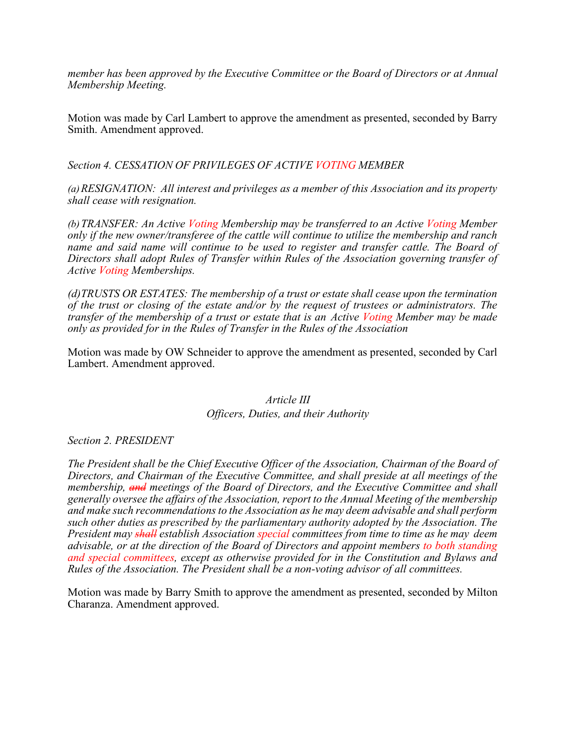*member has been approved by the Executive Committee or the Board of Directors or at Annual Membership Meeting.*

Motion was made by Carl Lambert to approve the amendment as presented, seconded by Barry Smith. Amendment approved.

*Section 4. CESSATION OF PRIVILEGES OF ACTIVE VOTING MEMBER*

*(a)RESIGNATION: All interest and privileges as a member of this Association and its property shall cease with resignation.* 

*(b)TRANSFER: An Active Voting Membership may be transferred to an Active Voting Member only if the new owner/transferee of the cattle will continue to utilize the membership and ranch name and said name will continue to be used to register and transfer cattle. The Board of Directors shall adopt Rules of Transfer within Rules of the Association governing transfer of Active Voting Memberships.*

*(d)TRUSTS OR ESTATES: The membership of a trust or estate shall cease upon the termination of the trust or closing of the estate and/or by the request of trustees or administrators. The transfer of the membership of a trust or estate that is an Active Voting Member may be made only as provided for in the Rules of Transfer in the Rules of the Association* 

Motion was made by OW Schneider to approve the amendment as presented, seconded by Carl Lambert. Amendment approved.

> *Article III Officers, Duties, and their Authority*

*Section 2. PRESIDENT*

*The President shall be the Chief Executive Officer of the Association, Chairman of the Board of Directors, and Chairman of the Executive Committee, and shall preside at all meetings of the membership, and meetings of the Board of Directors, and the Executive Committee and shall generally oversee the affairs of the Association, report to the Annual Meeting of the membership and make such recommendations to the Association as he may deem advisable and shall perform such other duties as prescribed by the parliamentary authority adopted by the Association. The President may shall establish Association special committees from time to time as he may deem advisable, or at the direction of the Board of Directors and appoint members to both standing and special committees, except as otherwise provided for in the Constitution and Bylaws and Rules of the Association. The President shall be a non-voting advisor of all committees.* 

Motion was made by Barry Smith to approve the amendment as presented, seconded by Milton Charanza. Amendment approved.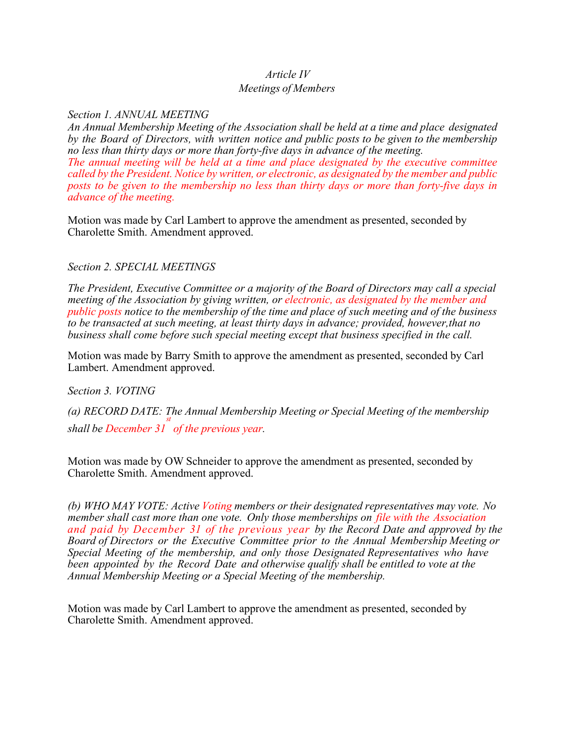## *Article IV*

### *Meetings of Members*

### *Section 1. ANNUAL MEETING*

*An Annual Membership Meeting of the Association shall be held at a time and place designated by the Board of Directors, with written notice and public posts to be given to the membership no less than thirty days or more than forty-five days in advance of the meeting. The annual meeting will be held at a time and place designated by the executive committee called by the President. Notice by written, or electronic, as designated by the member and public posts to be given to the membership no less than thirty days or more than forty-five days in advance of the meeting.*

Motion was made by Carl Lambert to approve the amendment as presented, seconded by Charolette Smith. Amendment approved.

### *Section 2. SPECIAL MEETINGS*

*The President, Executive Committee or a majority of the Board of Directors may call a special meeting of the Association by giving written, or electronic, as designated by the member and public posts notice to the membership of the time and place of such meeting and of the business to be transacted at such meeting, at least thirty days in advance; provided, however,that no business shall come before such special meeting except that business specified in the call.*

Motion was made by Barry Smith to approve the amendment as presented, seconded by Carl Lambert. Amendment approved.

*Section 3. VOTING*

*(a) RECORD DATE: The Annual Membership Meeting or Special Meeting of the membership st shall be December 31 of the previous year.*

Motion was made by OW Schneider to approve the amendment as presented, seconded by Charolette Smith. Amendment approved.

*(b) WHO MAY VOTE: Active Voting members or their designated representatives may vote. No member shall cast more than one vote. Only those memberships on file with the Association and paid by December 31 of the previous year by the Record Date and approved by the Board of Directors or the Executive Committee prior to the Annual Membership Meeting or Special Meeting of the membership, and only those Designated Representatives who have been appointed by the Record Date and otherwise qualify shall be entitled to vote at the Annual Membership Meeting or a Special Meeting of the membership.*

Motion was made by Carl Lambert to approve the amendment as presented, seconded by Charolette Smith. Amendment approved.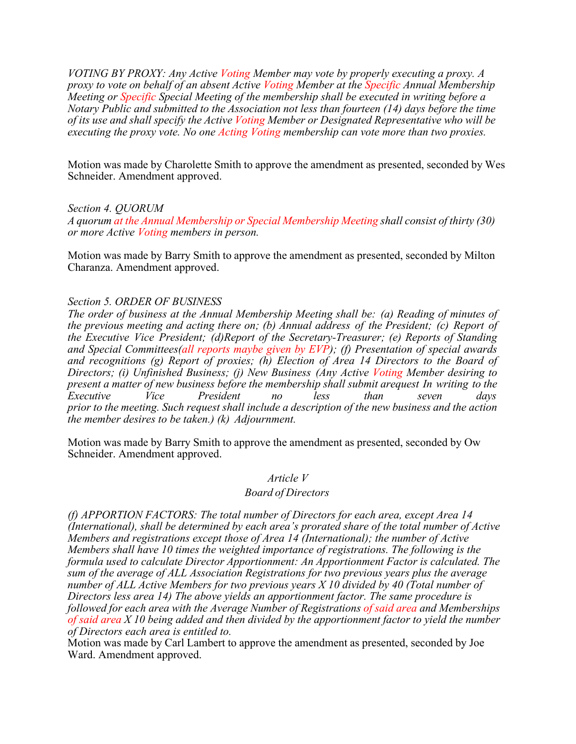*VOTING BY PROXY: Any Active Voting Member may vote by properly executing a proxy. A proxy to vote on behalf of an absent Active Voting Member at the Specific Annual Membership Meeting or Specific Special Meeting of the membership shall be executed in writing before a Notary Public and submitted to the Association not less than fourteen (14) days before the time of its use and shall specify the Active Voting Member or Designated Representative who will be executing the proxy vote. No one Acting Voting membership can vote more than two proxies.*

Motion was made by Charolette Smith to approve the amendment as presented, seconded by Wes Schneider. Amendment approved.

*Section 4. QUORUM*

*A quorum at the Annual Membership or Special Membership Meeting shall consist of thirty (30) or more Active Voting members in person.*

Motion was made by Barry Smith to approve the amendment as presented, seconded by Milton Charanza. Amendment approved.

### *Section 5. ORDER OF BUSINESS*

*The order of business at the Annual Membership Meeting shall be: (a) Reading of minutes of the previous meeting and acting there on; (b) Annual address of the President; (c) Report of the Executive Vice President; (d)Report of the Secretary-Treasurer; (e) Reports of Standing and Special Committees(all reports maybe given by EVP); (f) Presentation of special awards and recognitions (g) Report of proxies; (h) Election of Area 14 Directors to the Board of Directors; (i) Unfinished Business; (j) New Business (Any Active Voting Member desiring to present a matter of new business before the membership shall submit arequest In writing to the Executive Vice President no less than seven days prior to the meeting. Such request shall include a description of the new business and the action the member desires to be taken.) (k) Adjournment.*

Motion was made by Barry Smith to approve the amendment as presented, seconded by Ow Schneider. Amendment approved.

*Article V*

#### *Board of Directors*

*(f) APPORTION FACTORS: The total number of Directors for each area, except Area 14 (International), shall be determined by each area's prorated share of the total number of Active Members and registrations except those of Area 14 (International); the number of Active Members shall have 10 times the weighted importance of registrations. The following is the formula used to calculate Director Apportionment: An Apportionment Factor is calculated. The sum of the average of ALL Association Registrations for two previous years plus the average number of ALL Active Members for two previous years X 10 divided by 40 (Total number of Directors less area 14) The above yields an apportionment factor. The same procedure is followed for each area with the Average Number of Registrations of said area and Memberships of said area X 10 being added and then divided by the apportionment factor to yield the number of Directors each area is entitled to.*

Motion was made by Carl Lambert to approve the amendment as presented, seconded by Joe Ward. Amendment approved.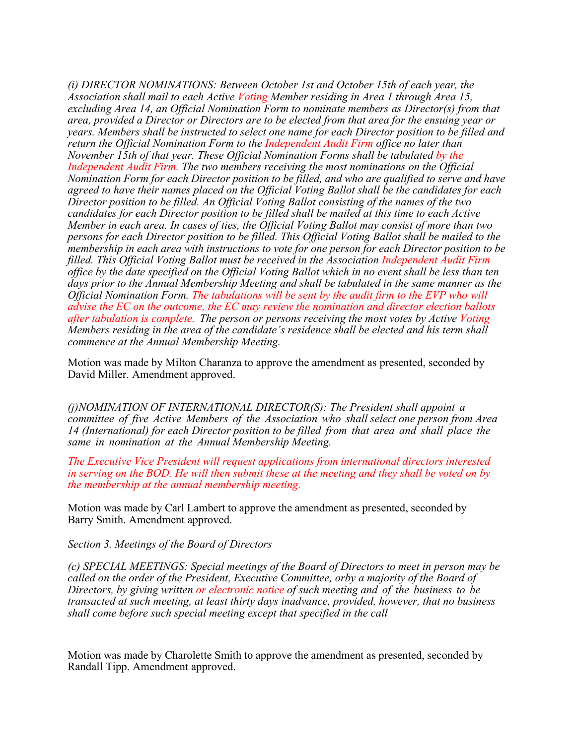*(i) DIRECTOR NOMINATIONS: Between October 1st and October 15th of each year, the Association shall mail to each Active Voting Member residing in Area 1 through Area 15, excluding Area 14, an Official Nomination Form to nominate members as Director(s) from that area, provided a Director or Directors are to be elected from that area for the ensuing year or years. Members shall be instructed to select one name for each Director position to be filled and return the Official Nomination Form to the Independent Audit Firm office no later than November 15th of that year. These Official Nomination Forms shall be tabulated by the Independent Audit Firm. The two members receiving the most nominations on the Official Nomination Form for each Director position to be filled, and who are qualified to serve and have agreed to have their names placed on the Official Voting Ballot shall be the candidates for each Director position to be filled. An Official Voting Ballot consisting of the names of the two candidates for each Director position to be filled shall be mailed at this time to each Active Member in each area. In cases of ties, the Official Voting Ballot may consist of more than two persons for each Director position to be filled. This Official Voting Ballot shall be mailed to the membership in each area with instructions to vote for one person for each Director position to be filled. This Official Voting Ballot must be received in the Association Independent Audit Firm office by the date specified on the Official Voting Ballot which in no event shall be less than ten days prior to the Annual Membership Meeting and shall be tabulated in the same manner as the Official Nomination Form. The tabulations will be sent by the audit firm to the EVP who will advise the EC on the outcome, the EC may review the nomination and director election ballots after tabulation is complete. The person or persons receiving the most votes by Active Voting Members residing in the area of the candidate's residence shall be elected and his term shall commence at the Annual Membership Meeting.*

Motion was made by Milton Charanza to approve the amendment as presented, seconded by David Miller. Amendment approved.

*(j)NOMINATION OF INTERNATIONAL DIRECTOR(S): The President shall appoint a committee of five Active Members of the Association who shall select one person from Area 14 (International) for each Director position to be filled from that area and shall place the same in nomination at the Annual Membership Meeting.*

*The Executive Vice President will request applications from international directors interested* in serving on the BOD. He will then submit these at the meeting and they shall be voted on by *the membership at the annual membership meeting.*

Motion was made by Carl Lambert to approve the amendment as presented, seconded by Barry Smith. Amendment approved.

#### *Section 3. Meetings of the Board of Directors*

*(c) SPECIAL MEETINGS: Special meetings of the Board of Directors to meet in person may be called on the order of the President, Executive Committee, orby a majority of the Board of Directors, by giving written or electronic notice of such meeting and of the business to be transacted at such meeting, at least thirty days inadvance, provided, however, that no business shall come before such special meeting except that specified in the call*

Motion was made by Charolette Smith to approve the amendment as presented, seconded by Randall Tipp. Amendment approved.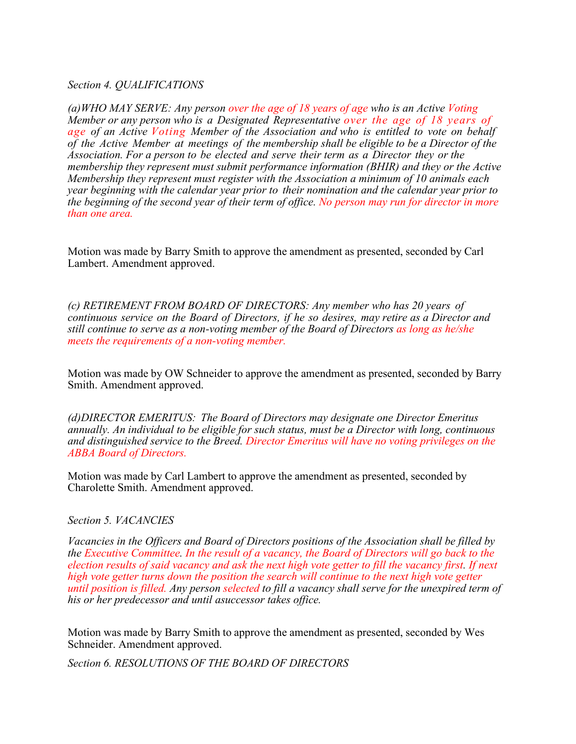### *Section 4. QUALIFICATIONS*

*(a)WHO MAY SERVE: Any person over the age of 18 years of age who is an Active Voting Member or any person who is a Designated Representative over the age of 18 years of age of an Active Voting Member of the Association and who is entitled to vote on behalf of the Active Member at meetings of the membership shall be eligible to be a Director of the Association. For a person to be elected and serve their term as a Director they or the membership they represent must submit performance information (BHIR) and they or the Active Membership they represent must register with the Association a minimum of 10 animals each year beginning with the calendar year prior to their nomination and the calendar year prior to the beginning of the second year of their term of office. No person may run for director in more than one area.*

Motion was made by Barry Smith to approve the amendment as presented, seconded by Carl Lambert. Amendment approved.

*(c) RETIREMENT FROM BOARD OF DIRECTORS: Any member who has 20 years of continuous service on the Board of Directors, if he so desires, may retire as a Director and still continue to serve as a non-voting member of the Board of Directors as long as he/she meets the requirements of a non-voting member.*

Motion was made by OW Schneider to approve the amendment as presented, seconded by Barry Smith. Amendment approved.

*(d)DIRECTOR EMERITUS: The Board of Directors may designate one Director Emeritus annually. An individual to be eligible for such status, must be a Director with long, continuous and distinguished service to the Breed. Director Emeritus will have no voting privileges on the ABBA Board of Directors.*

Motion was made by Carl Lambert to approve the amendment as presented, seconded by Charolette Smith. Amendment approved.

#### *Section 5. VACANCIES*

*Vacancies in the Officers and Board of Directors positions of the Association shall be filled by the Executive Committee. In the result of a vacancy, the Board of Directors will go back to the election results of said vacancy and ask the next high vote getter to fill the vacancy first. If next high vote getter turns down the position the search will continue to the next high vote getter until position is filled. Any person selected to fill a vacancy shall serve for the unexpired term of his or her predecessor and until asuccessor takes office.*

Motion was made by Barry Smith to approve the amendment as presented, seconded by Wes Schneider. Amendment approved.

*Section 6. RESOLUTIONS OF THE BOARD OF DIRECTORS*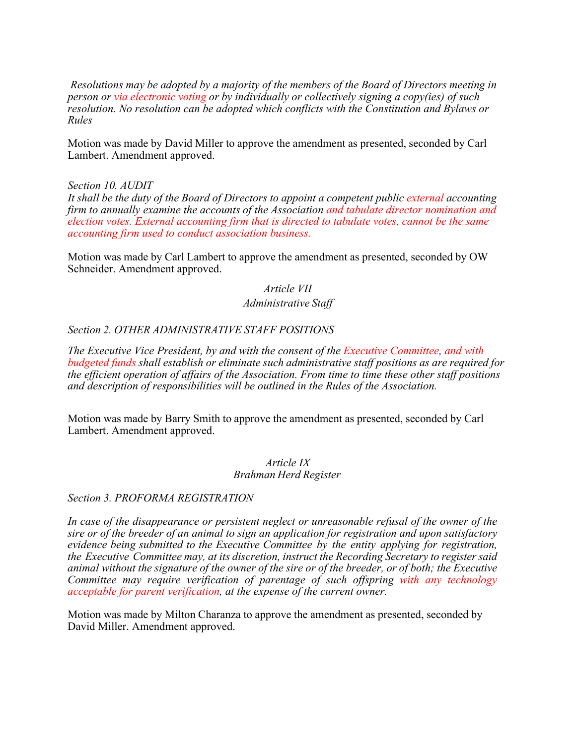*Resolutions may be adopted by a majority of the members of the Board of Directors meeting in person or via electronic voting or by individually or collectively signing a copy(ies) of such resolution. No resolution can be adopted which conflicts with the Constitution and Bylaws or Rules*

Motion was made by David Miller to approve the amendment as presented, seconded by Carl Lambert. Amendment approved.

### *Section 10. AUDIT*

*It shall be the duty of the Board of Directors to appoint a competent public external accounting firm to annually examine the accounts of the Association and tabulate director nomination and election votes. External accounting firm that is directed to tabulate votes, cannot be the same accounting firm used to conduct association business.*

Motion was made by Carl Lambert to approve the amendment as presented, seconded by OW Schneider. Amendment approved.

## *Article VII Administrative Staff*

### *Section 2. OTHER ADMINISTRATIVE STAFF POSITIONS*

*The Executive Vice President, by and with the consent of the Executive Committee, and with budgeted funds shall establish or eliminate such administrative staff positions as are required for the efficient operation of affairs of the Association. From time to time these other staff positions and description of responsibilities will be outlined in the Rules of the Association.*

Motion was made by Barry Smith to approve the amendment as presented, seconded by Carl Lambert. Amendment approved.

#### *Article IX Brahman Herd Register*

#### *Section 3. PROFORMA REGISTRATION*

*In case of the disappearance or persistent neglect or unreasonable refusal of the owner of the sire or of the breeder of an animal to sign an application for registration and upon satisfactory evidence being submitted to the Executive Committee by the entity applying for registration, the Executive Committee may, at its discretion, instruct the Recording Secretary to register said*  animal without the signature of the owner of the sire or of the breeder, or of both; the Executive *Committee may require verification of parentage of such offspring with any technology acceptable for parent verification, at the expense of the current owner.*

Motion was made by Milton Charanza to approve the amendment as presented, seconded by David Miller. Amendment approved.